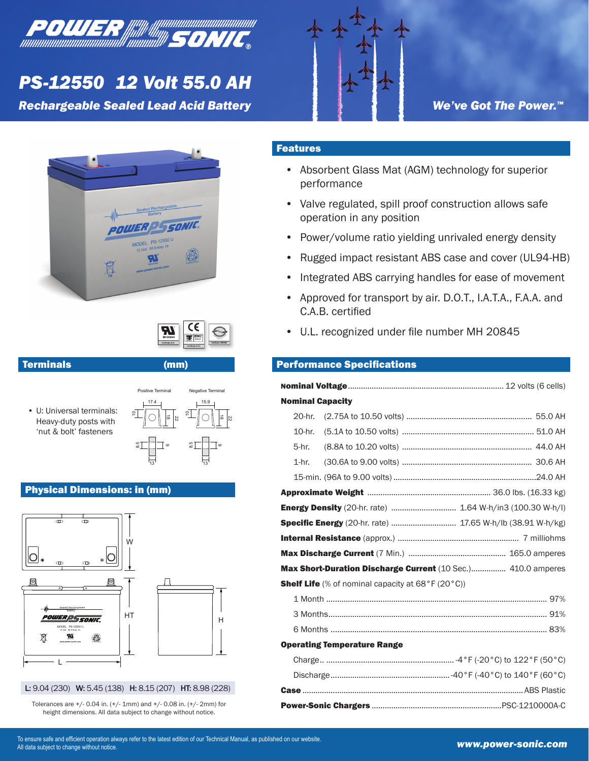

# *PS-12550 12 Volt 55.0 AH*

**Rechargeable Sealed Lead Acid Battery** 



We've Got The Power.<sup>™</sup>





# Terminals (mm)

 U: Universal terminals: • Heavy-duty posts with 'nut & bolt' fasteners



### Physical Dimensions: in (mm)





Tolerances are +/- 0.04 in. (+/- 1mm) and +/- 0.08 in. (+/- 2mm) for height dimensions. All data subject to change without notice.

# Features

- Absorbent Glass Mat (AGM) technology for superior performance
- Valve regulated, spill proof construction allows safe operation in any position
- Power/volume ratio yielding unrivaled energy density •
- Rugged impact resistant ABS case and cover (UL94-HB) •
- Integrated ABS carrying handles for ease of movement •
- Approved for transport by air. D.O.T., I.A.T.A., F.A.A. and C.A.B. certified •
- U.L. recognized under file number MH 20845 •

## **Performance Specifications**

| <b>Nominal Capacity</b>                                          |                                               |  |  |  |  |  |  |  |  |
|------------------------------------------------------------------|-----------------------------------------------|--|--|--|--|--|--|--|--|
|                                                                  | 20-hr.                                        |  |  |  |  |  |  |  |  |
|                                                                  | 10-hr.                                        |  |  |  |  |  |  |  |  |
|                                                                  | 5-hr.                                         |  |  |  |  |  |  |  |  |
|                                                                  | 1-hr.                                         |  |  |  |  |  |  |  |  |
|                                                                  |                                               |  |  |  |  |  |  |  |  |
|                                                                  |                                               |  |  |  |  |  |  |  |  |
| <b>Energy Density</b> (20-hr. rate)  1.64 W-h/in3 (100.30 W-h/l) |                                               |  |  |  |  |  |  |  |  |
| Specific Energy (20-hr. rate)  17.65 W-h/lb (38.91 W-h/kg)       |                                               |  |  |  |  |  |  |  |  |
|                                                                  |                                               |  |  |  |  |  |  |  |  |
|                                                                  |                                               |  |  |  |  |  |  |  |  |
| Max Short-Duration Discharge Current (10 Sec.) 410.0 amperes     |                                               |  |  |  |  |  |  |  |  |
| <b>Shelf Life</b> (% of nominal capacity at 68°F (20°C))         |                                               |  |  |  |  |  |  |  |  |
|                                                                  | 1 Month ……………………………………………………………………………………… 97% |  |  |  |  |  |  |  |  |
|                                                                  |                                               |  |  |  |  |  |  |  |  |
|                                                                  |                                               |  |  |  |  |  |  |  |  |
| <b>Operating Temperature Range</b>                               |                                               |  |  |  |  |  |  |  |  |
|                                                                  |                                               |  |  |  |  |  |  |  |  |
|                                                                  |                                               |  |  |  |  |  |  |  |  |
|                                                                  |                                               |  |  |  |  |  |  |  |  |